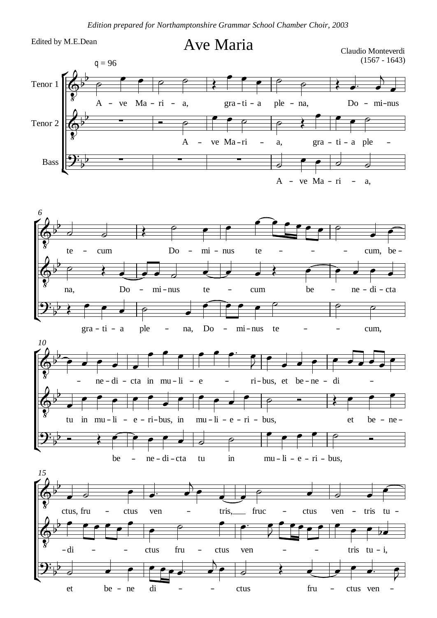Edited by M.E.Dean

et

be ne di

## Ave Maria Claudio Monteverdi



ctus

fru

– ctus ven

 $\overline{\phantom{0}}$ 

 $\frac{1}{2}$  and  $\frac{1}{2}$